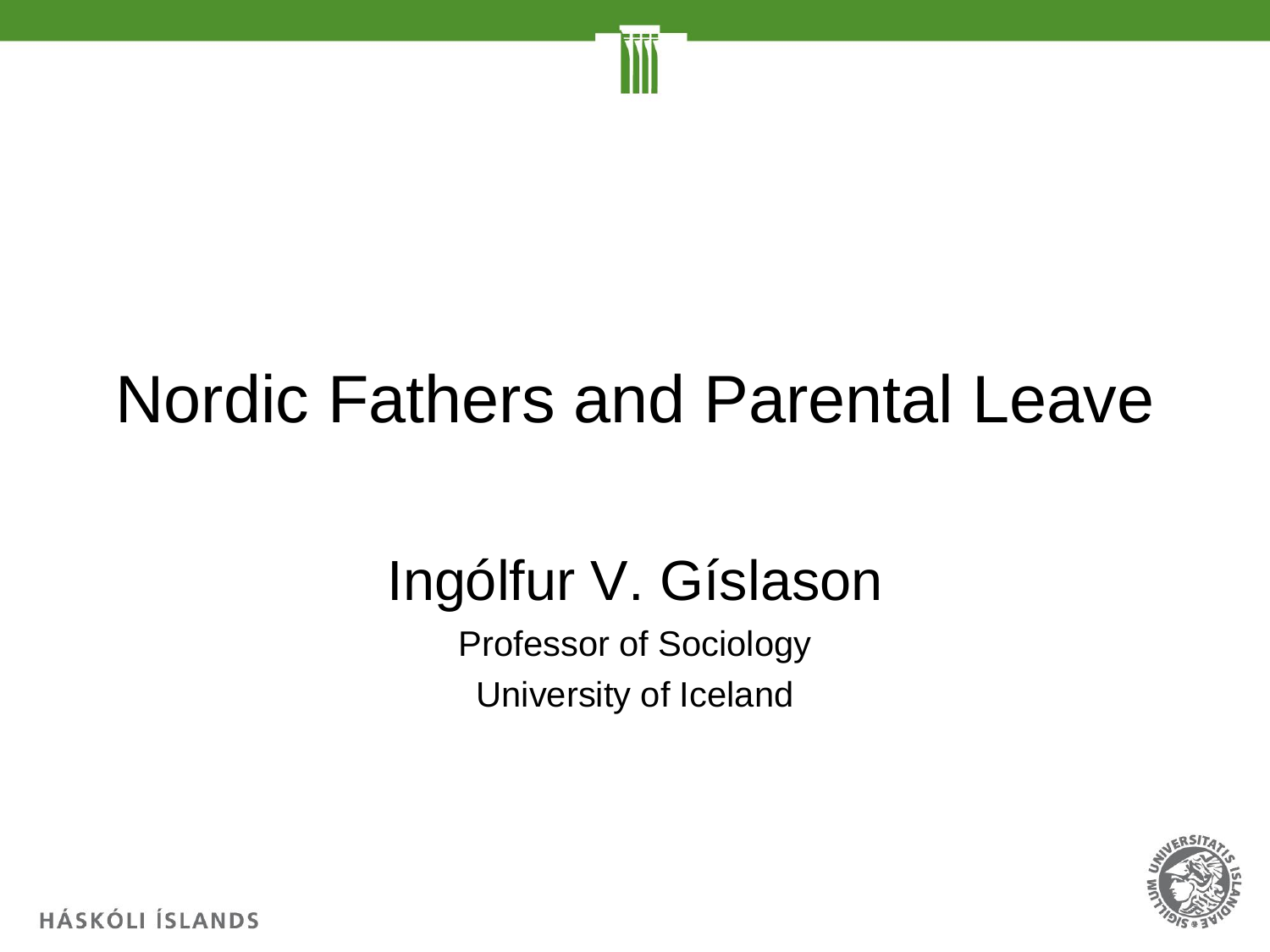

### Nordic Fathers and Parental Leave

### Ingólfur V. Gíslason

Professor of Sociology University of Iceland

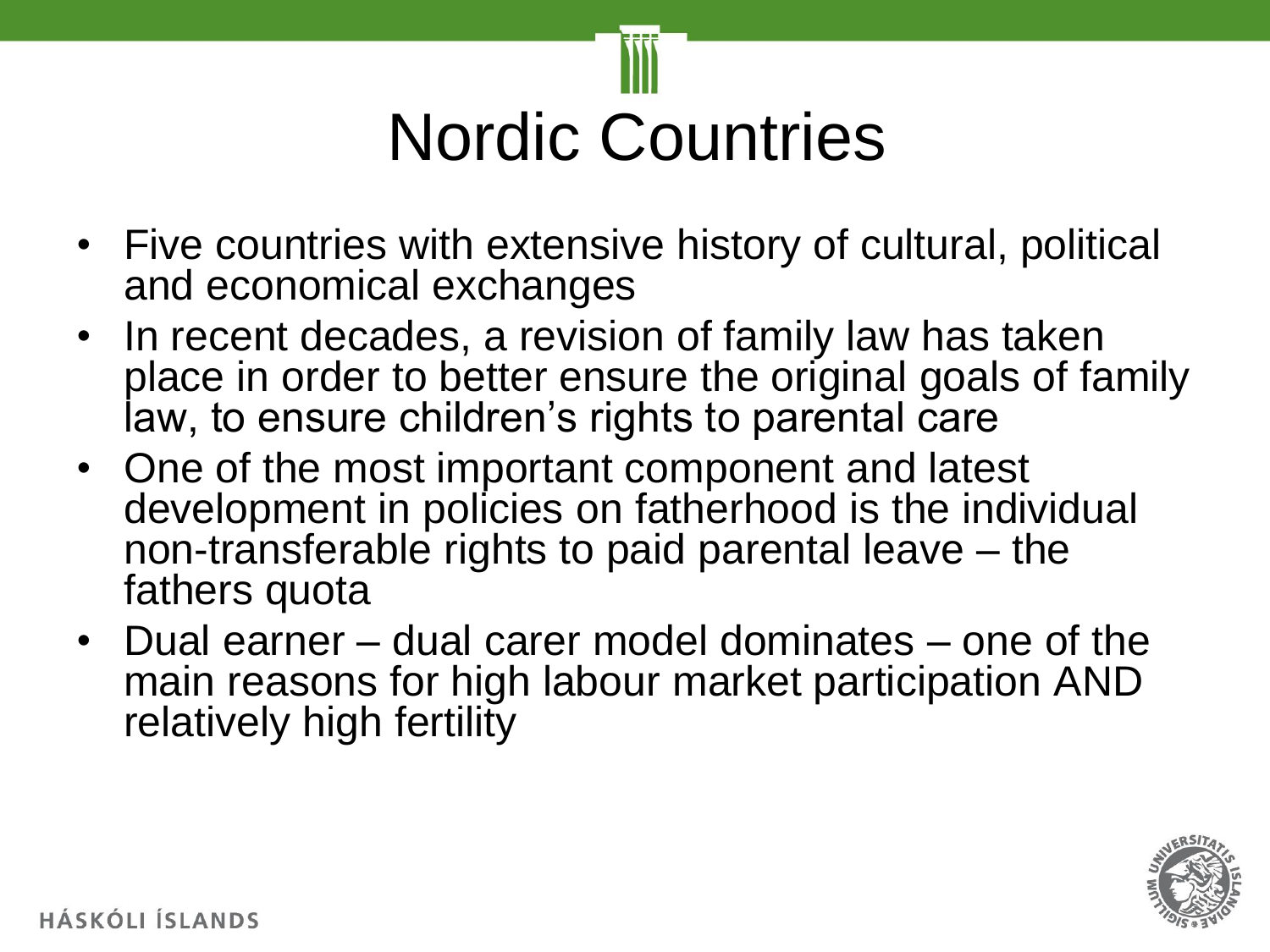

- Five countries with extensive history of cultural, political and economical exchanges
- In recent decades, a revision of family law has taken place in order to better ensure the original goals of family law, to ensure children's rights to parental care
- One of the most important component and latest development in policies on fatherhood is the individual non-transferable rights to paid parental leave – the fathers quota
- Dual earner dual carer model dominates one of the main reasons for high labour market participation AND relatively high fertility

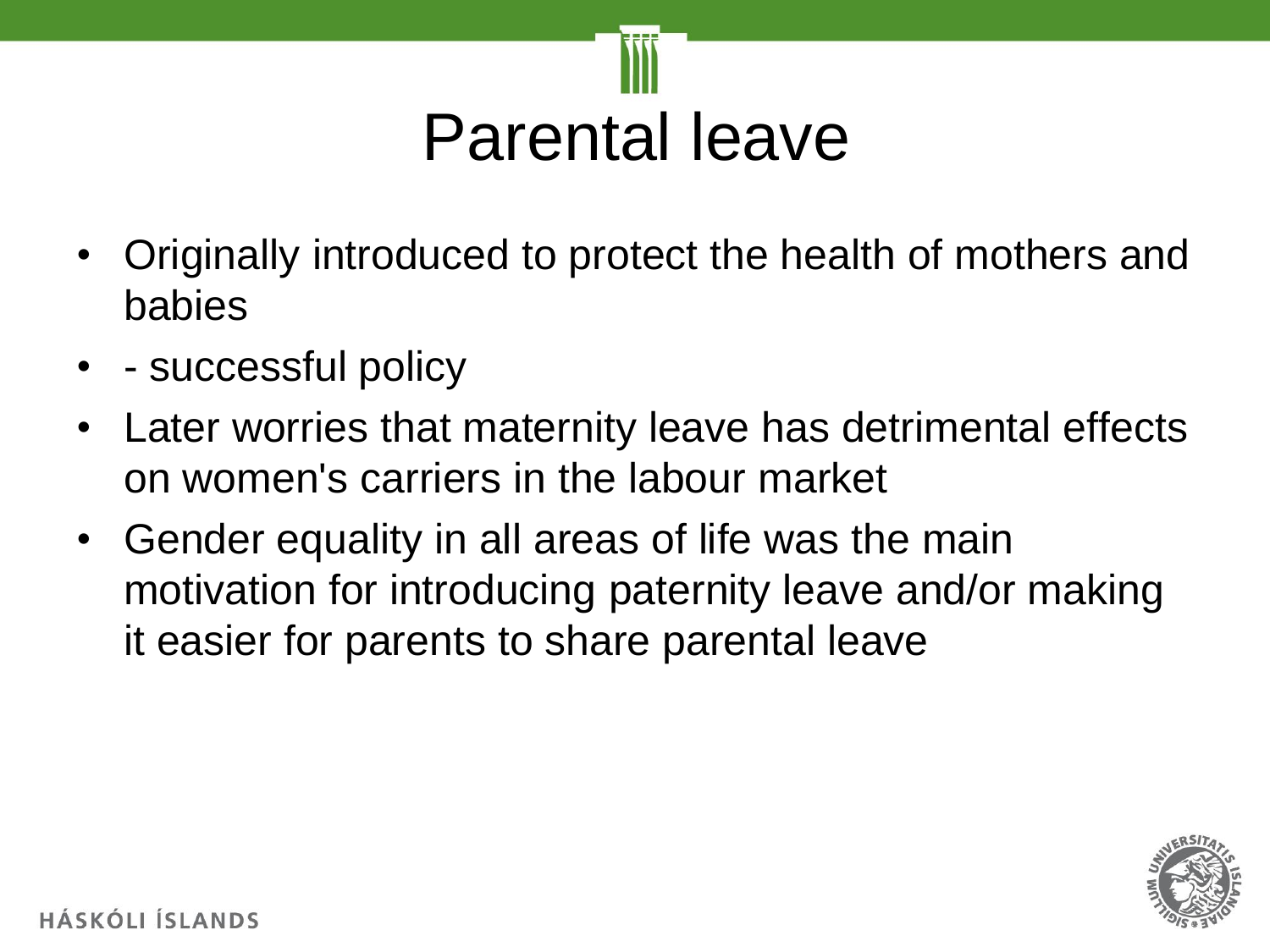

- Originally introduced to protect the health of mothers and babies
- - successful policy
- Later worries that maternity leave has detrimental effects on women's carriers in the labour market
- Gender equality in all areas of life was the main motivation for introducing paternity leave and/or making it easier for parents to share parental leave

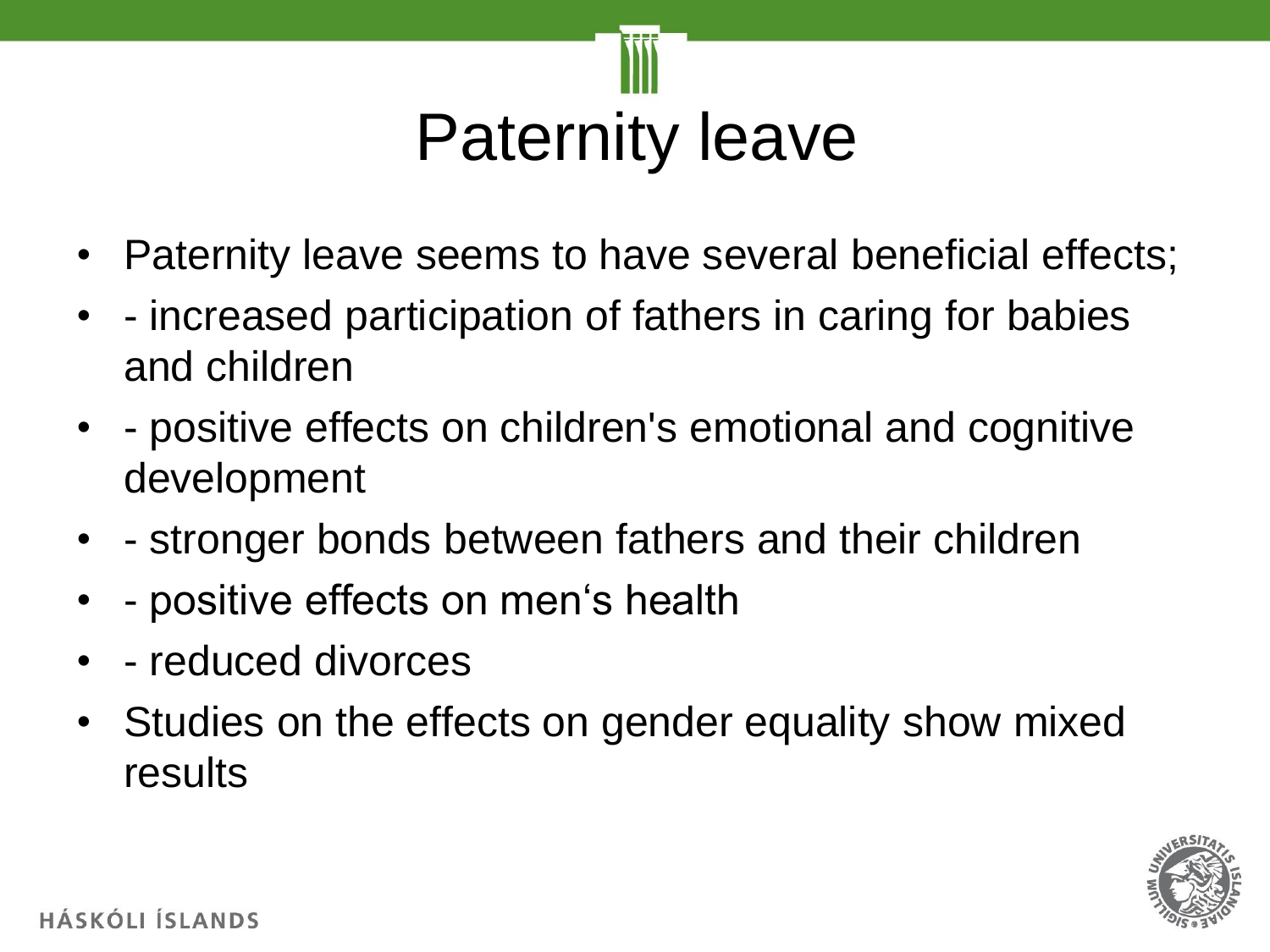

- Paternity leave seems to have several beneficial effects;
- - increased participation of fathers in caring for babies and children
- - positive effects on children's emotional and cognitive development
- - stronger bonds between fathers and their children
- - positive effects on men's health
- - reduced divorces
- Studies on the effects on gender equality show mixed results

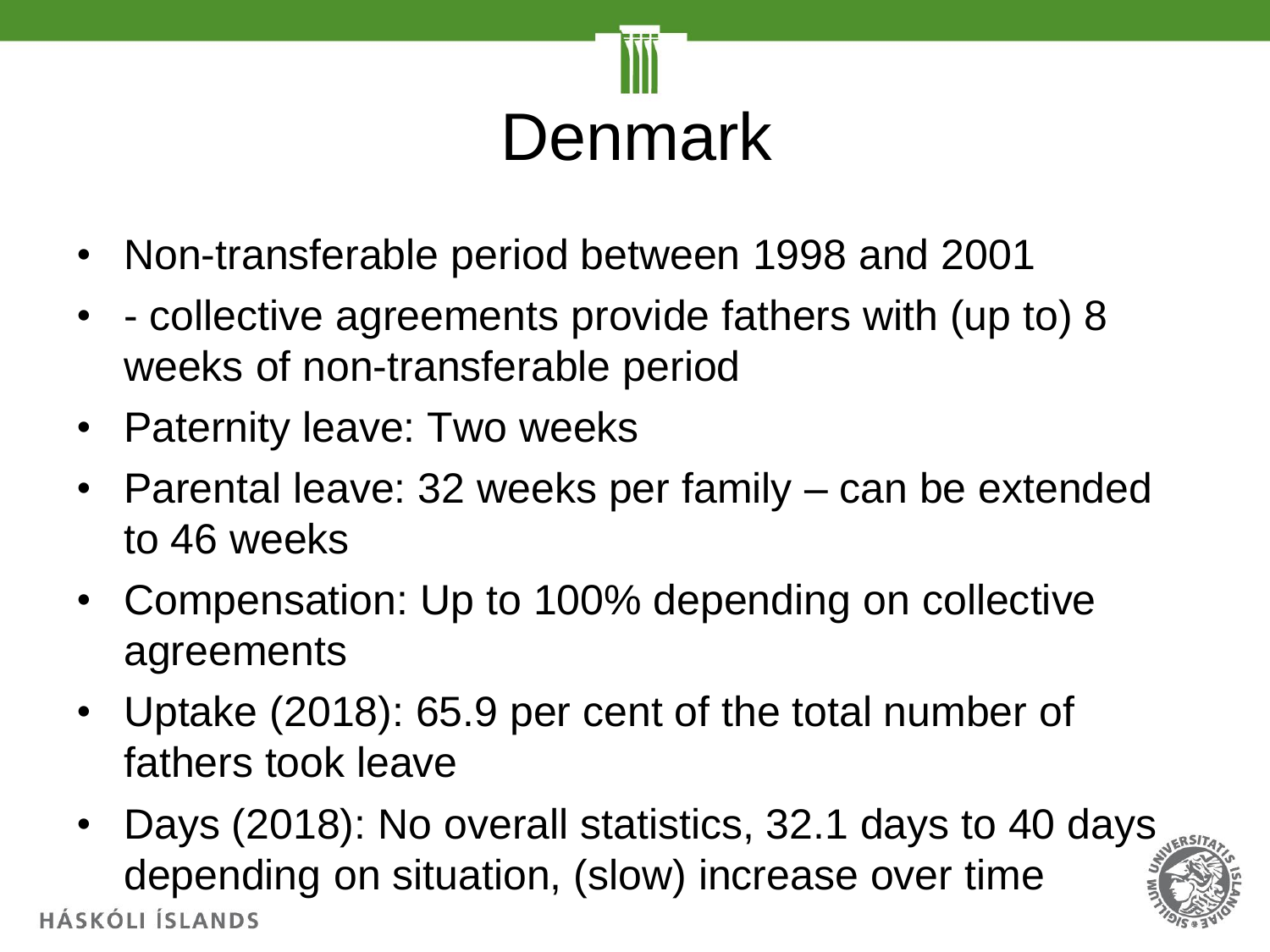

- Non-transferable period between 1998 and 2001
- - collective agreements provide fathers with (up to) 8 weeks of non-transferable period
- Paternity leave: Two weeks
- Parental leave: 32 weeks per family can be extended to 46 weeks
- Compensation: Up to 100% depending on collective agreements
- Uptake (2018): 65.9 per cent of the total number of fathers took leave
- Days (2018): No overall statistics, 32.1 days to 40 days depending on situation, (slow) increase over time **HÁSKÓLI ÍSLANDS**

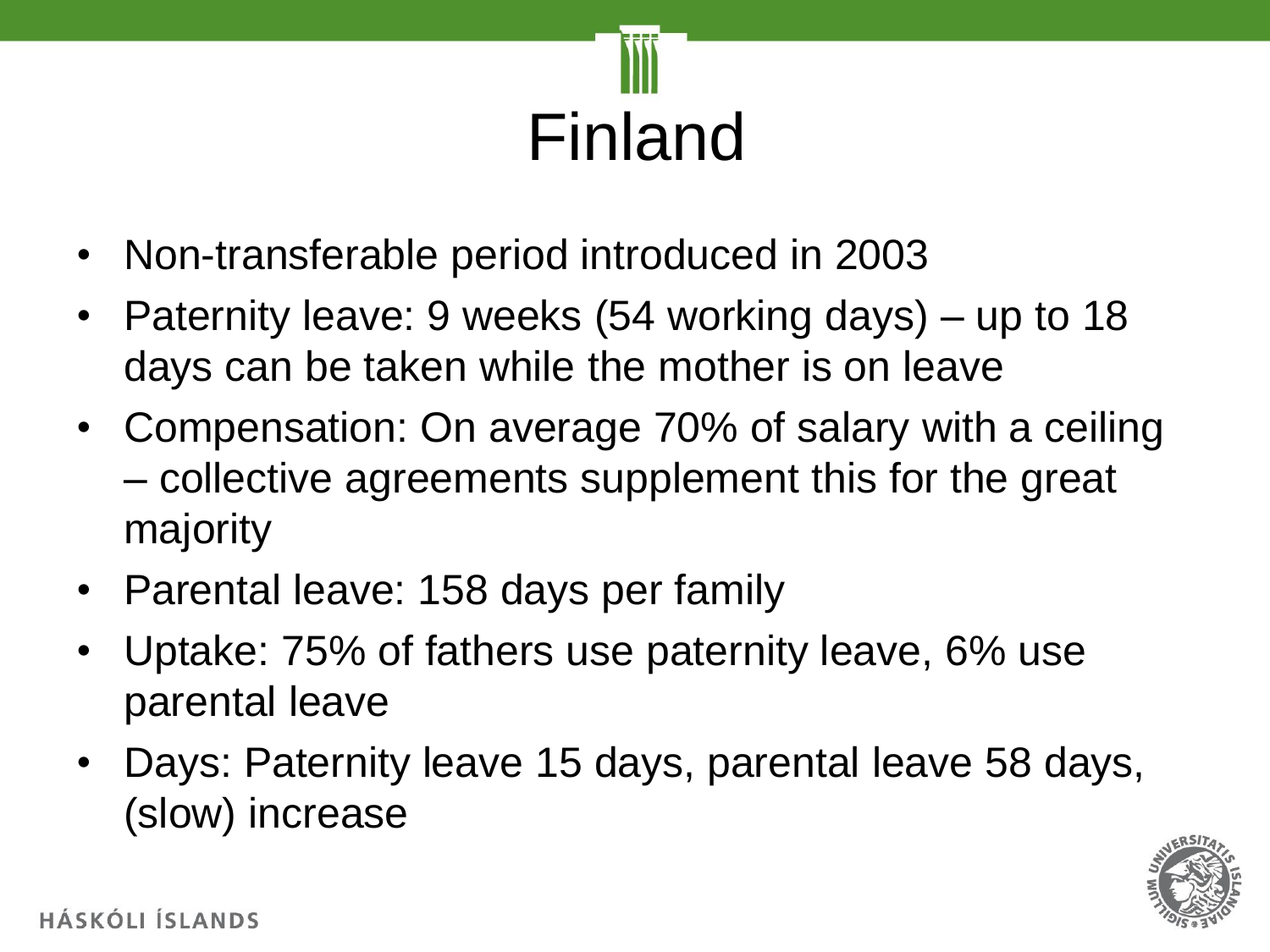# Finland

- Non-transferable period introduced in 2003
- Paternity leave: 9 weeks (54 working days) up to 18 days can be taken while the mother is on leave
- Compensation: On average 70% of salary with a ceiling – collective agreements supplement this for the great majority
- Parental leave: 158 days per family
- Uptake: 75% of fathers use paternity leave, 6% use parental leave
- Days: Paternity leave 15 days, parental leave 58 days, (slow) increase

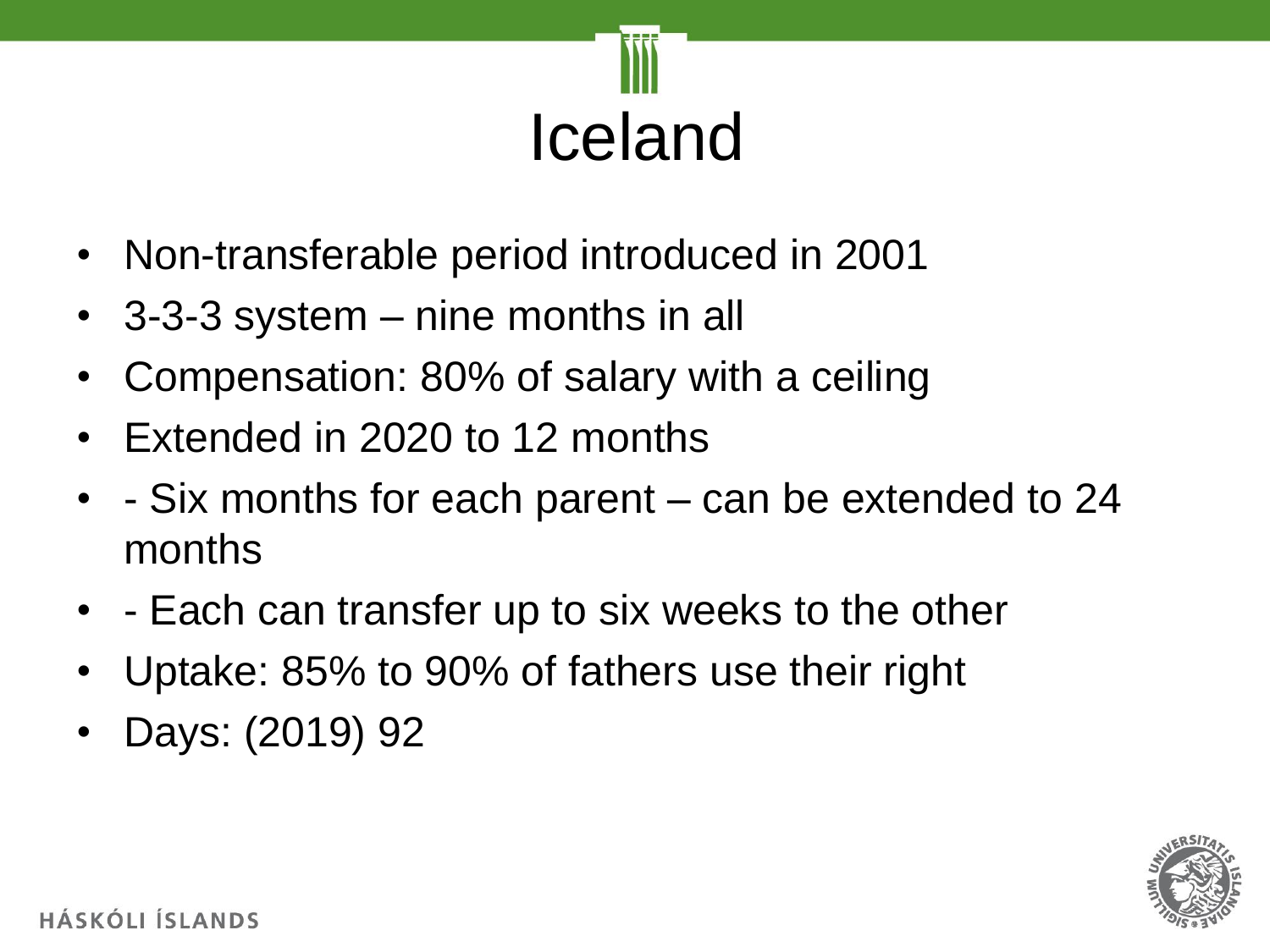

- Non-transferable period introduced in 2001
- 3-3-3 system nine months in all
- Compensation: 80% of salary with a ceiling
- Extended in 2020 to 12 months
- - Six months for each parent can be extended to 24 months
- - Each can transfer up to six weeks to the other
- Uptake: 85% to 90% of fathers use their right
- Days: (2019) 92

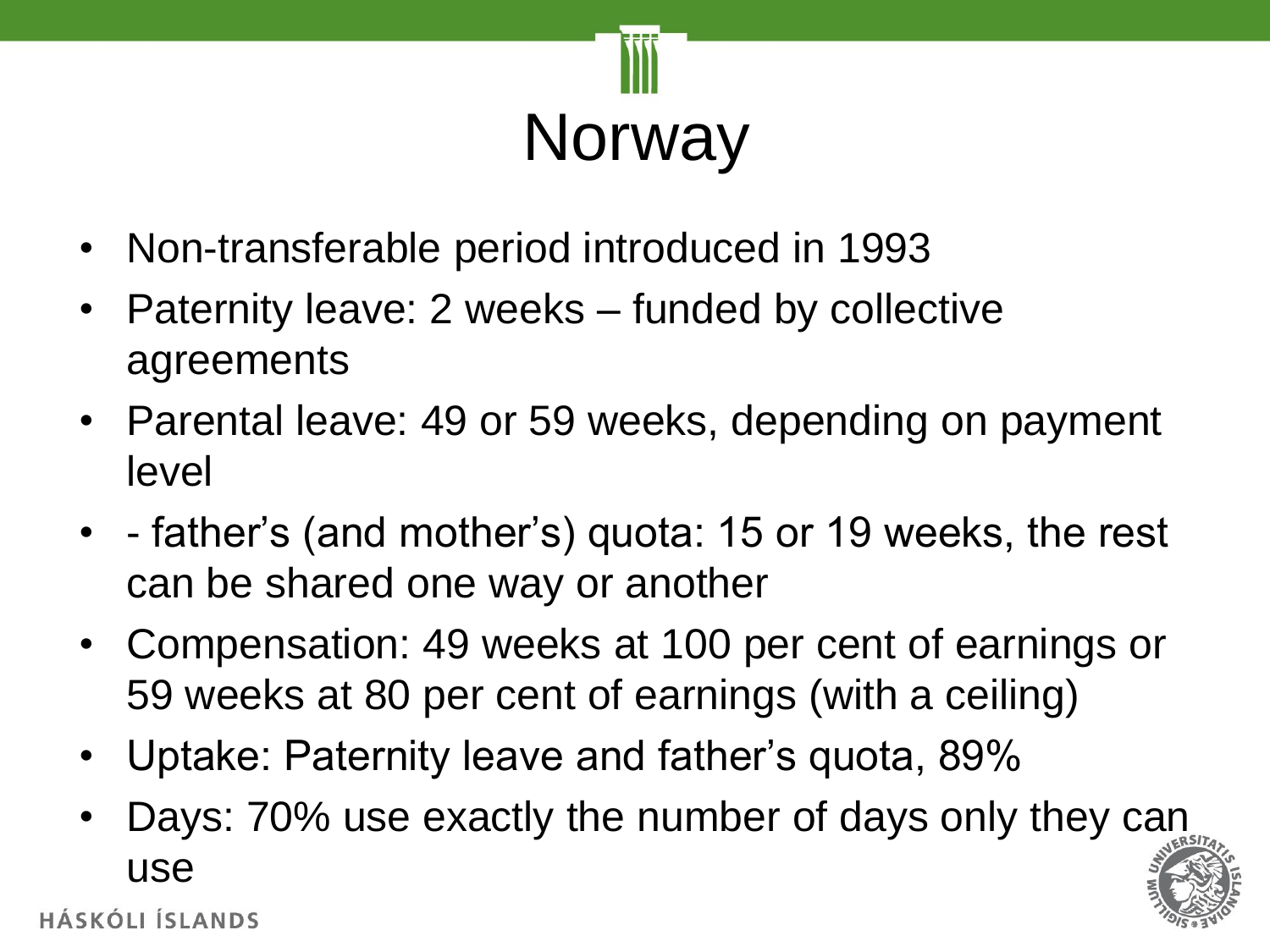

- Non-transferable period introduced in 1993
- Paternity leave: 2 weeks funded by collective agreements
- Parental leave: 49 or 59 weeks, depending on payment level
- - father's (and mother's) quota: 15 or 19 weeks, the rest can be shared one way or another
- Compensation: 49 weeks at 100 per cent of earnings or 59 weeks at 80 per cent of earnings (with a ceiling)
- Uptake: Paternity leave and father's quota, 89%
- Days: 70% use exactly the number of days only they can use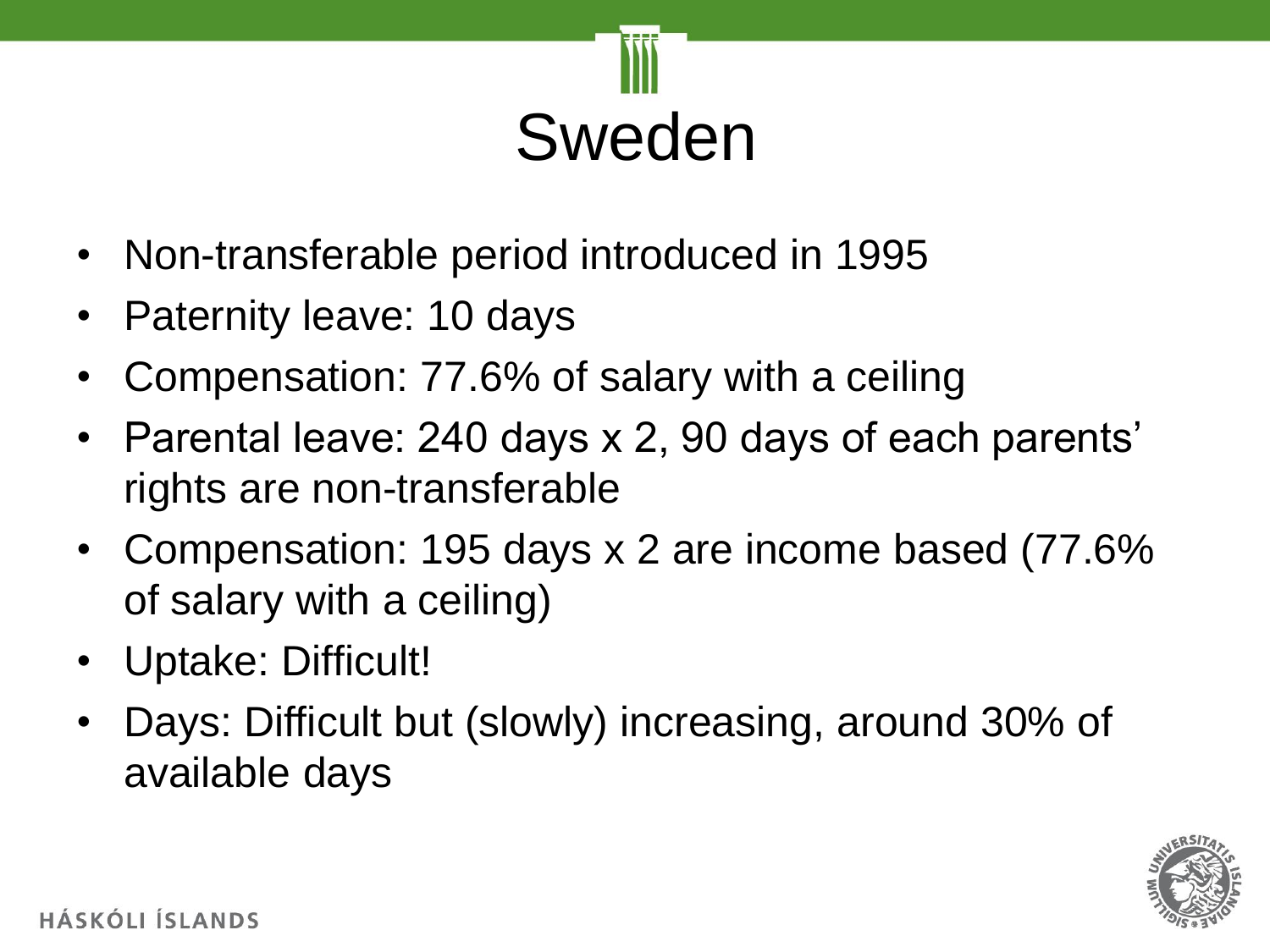

- Non-transferable period introduced in 1995
- Paternity leave: 10 days
- Compensation: 77.6% of salary with a ceiling
- Parental leave: 240 days x 2, 90 days of each parents' rights are non-transferable
- Compensation: 195 days x 2 are income based (77.6% of salary with a ceiling)
- Uptake: Difficult!
- Days: Difficult but (slowly) increasing, around 30% of available days

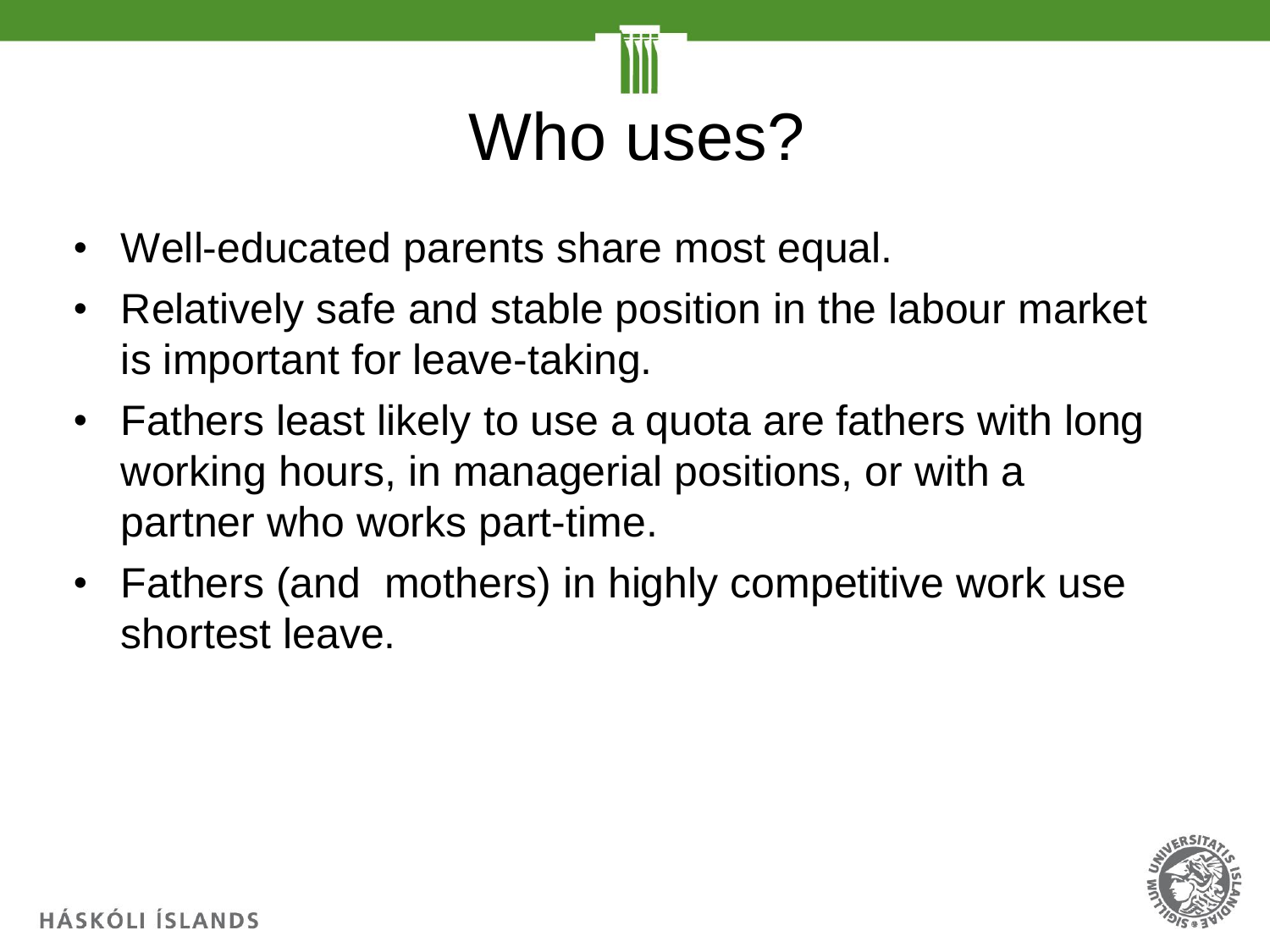

- Well-educated parents share most equal.
- Relatively safe and stable position in the labour market is important for leave-taking.
- Fathers least likely to use a quota are fathers with long working hours, in managerial positions, or with a partner who works part-time.
- Fathers (and mothers) in highly competitive work use shortest leave.

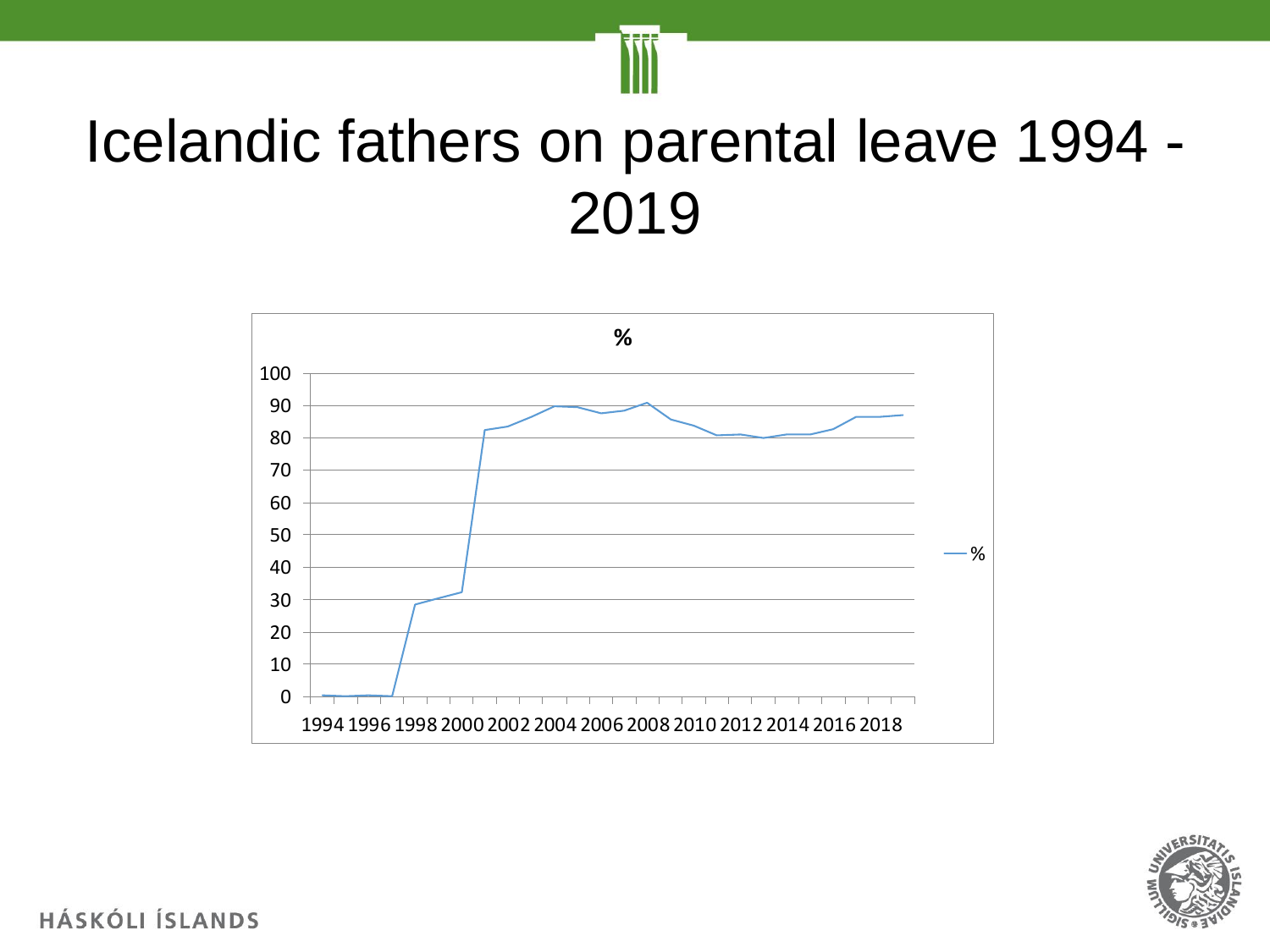

### Icelandic fathers on parental leave 1994 -



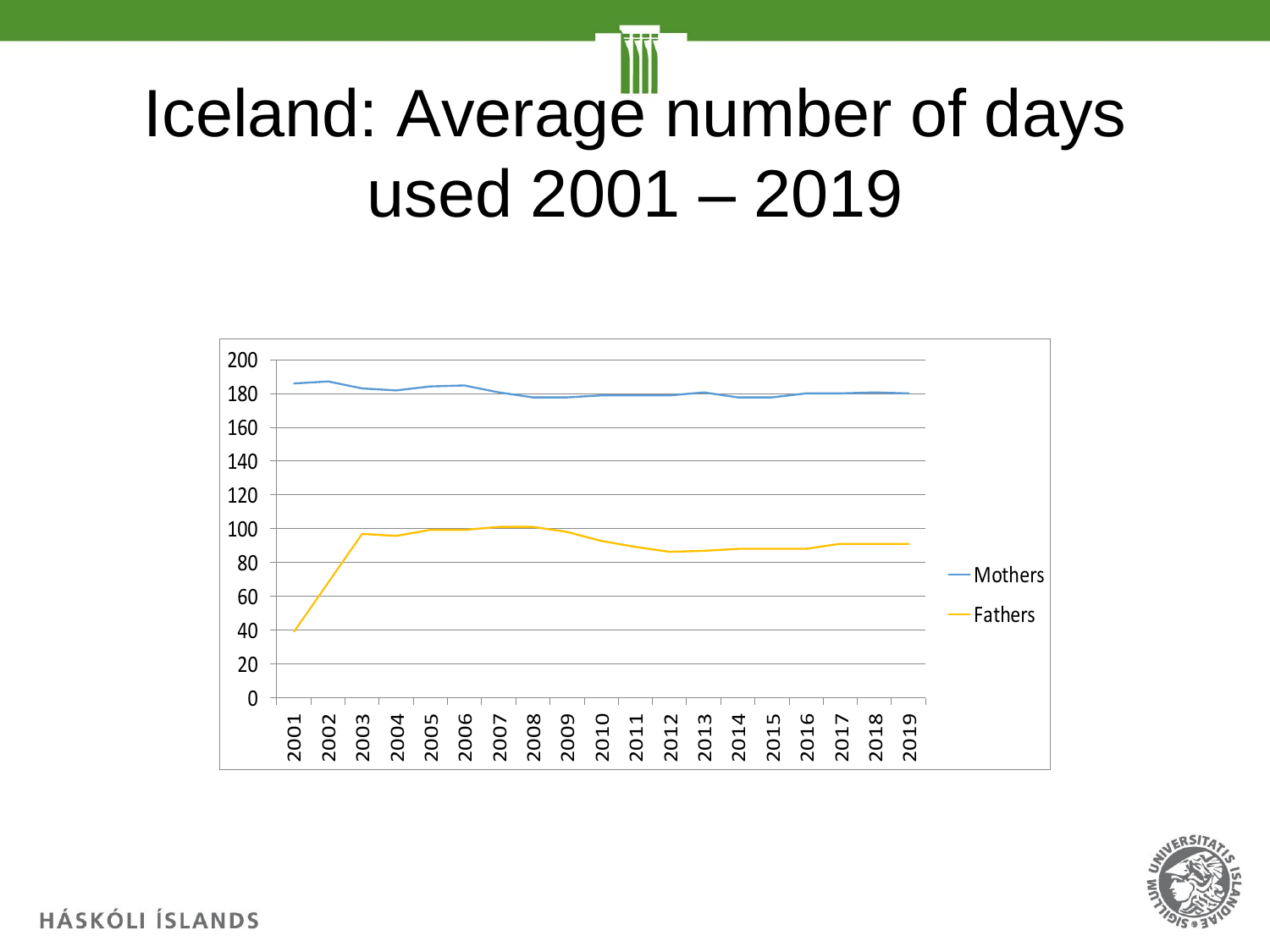## Iceland: Average number of days used 2001 – 2019



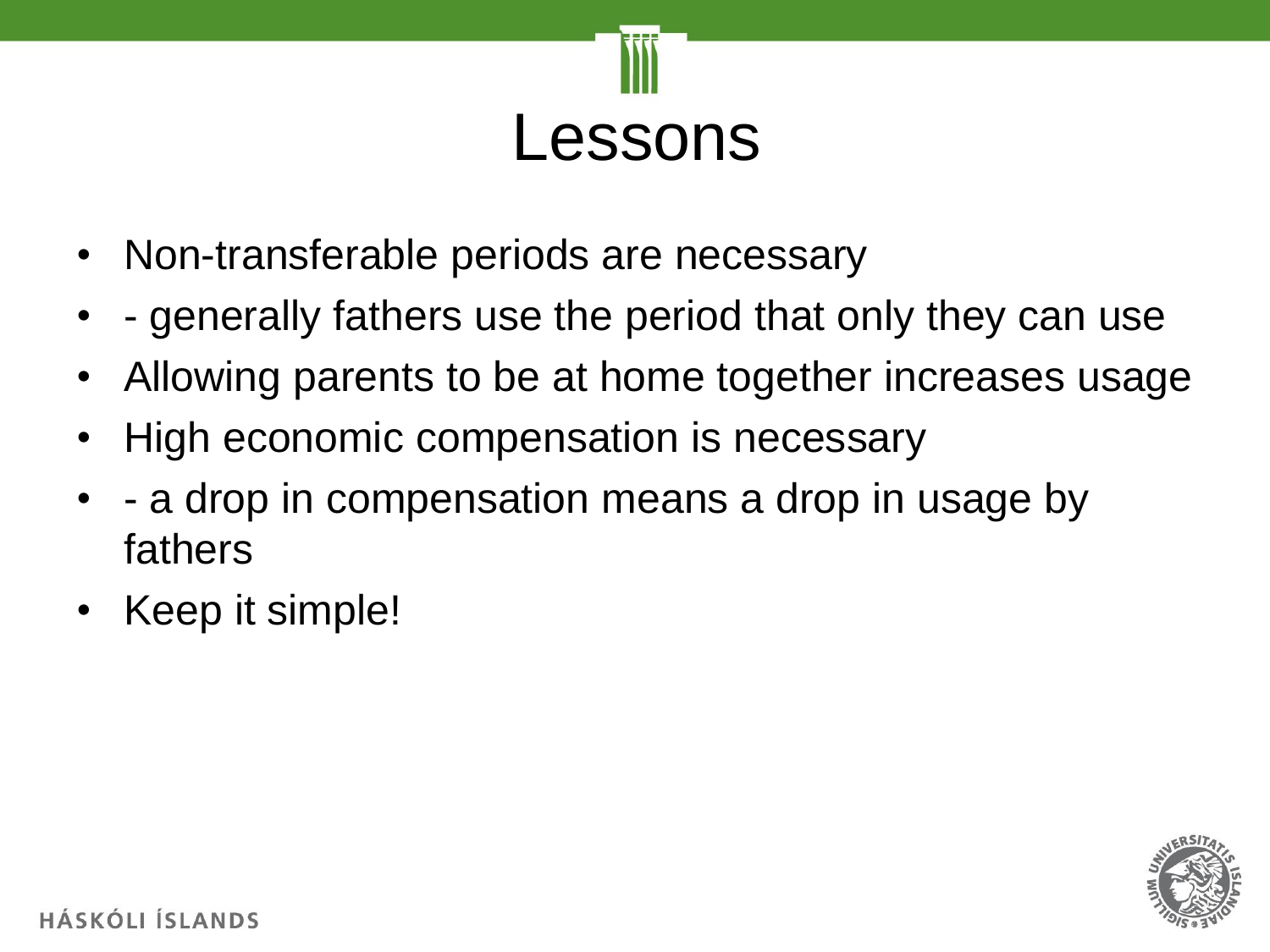

- Non-transferable periods are necessary
- - generally fathers use the period that only they can use
- Allowing parents to be at home together increases usage
- High economic compensation is necessary
- a drop in compensation means a drop in usage by fathers
- Keep it simple!